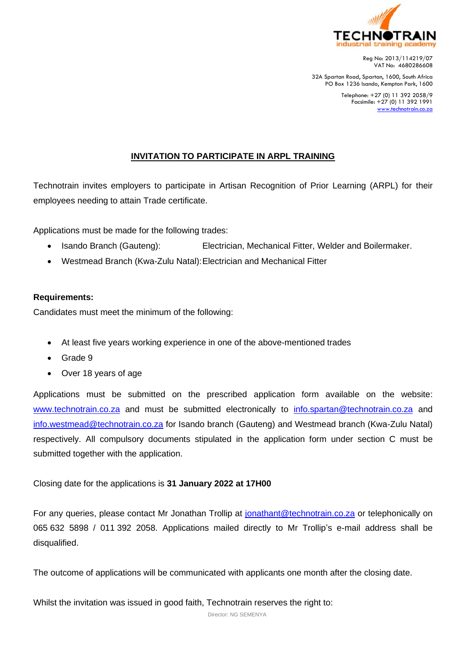

Reg No: 2013/114219/07 VAT No: 4680286608

32A Spartan Road, Spartan, 1600, South Africa PO Box 1236 Isando, Kempton Park, 1600

> Telephone: +27 (0) 11 392 2058/9 Facsimile: +27 (0) 11 392 1991 [www.technotrain.co.za](http://www.technotrain.co.za/)

## **INVITATION TO PARTICIPATE IN ARPL TRAINING**

Technotrain invites employers to participate in Artisan Recognition of Prior Learning (ARPL) for their employees needing to attain Trade certificate.

Applications must be made for the following trades:

- Isando Branch (Gauteng): Electrician, Mechanical Fitter, Welder and Boilermaker.
- Westmead Branch (Kwa-Zulu Natal):Electrician and Mechanical Fitter

## **Requirements:**

Candidates must meet the minimum of the following:

- At least five years working experience in one of the above-mentioned trades
- Grade 9
- Over 18 years of age

Applications must be submitted on the prescribed application form available on the website: [www.technotrain.co.za](http://www.technotrain.co.za/) and must be submitted electronically to [info.spartan@technotrain.co.za](mailto:info.spartan@technotrain.co.za) and [info.westmead@technotrain.co.za](mailto:info.westmead@technotrain.co.za) for Isando branch (Gauteng) and Westmead branch (Kwa-Zulu Natal) respectively. All compulsory documents stipulated in the application form under section C must be submitted together with the application.

Closing date for the applications is **31 January 2022 at 17H00**

For any queries, please contact Mr Jonathan Trollip at [jonathant@technotrain.co.za](mailto:jonathant@technotrain.co.za) or telephonically on 065 632 5898 / 011 392 2058. Applications mailed directly to Mr Trollip's e-mail address shall be disqualified.

The outcome of applications will be communicated with applicants one month after the closing date.

Whilst the invitation was issued in good faith, Technotrain reserves the right to:

Director: NG SEMENYA